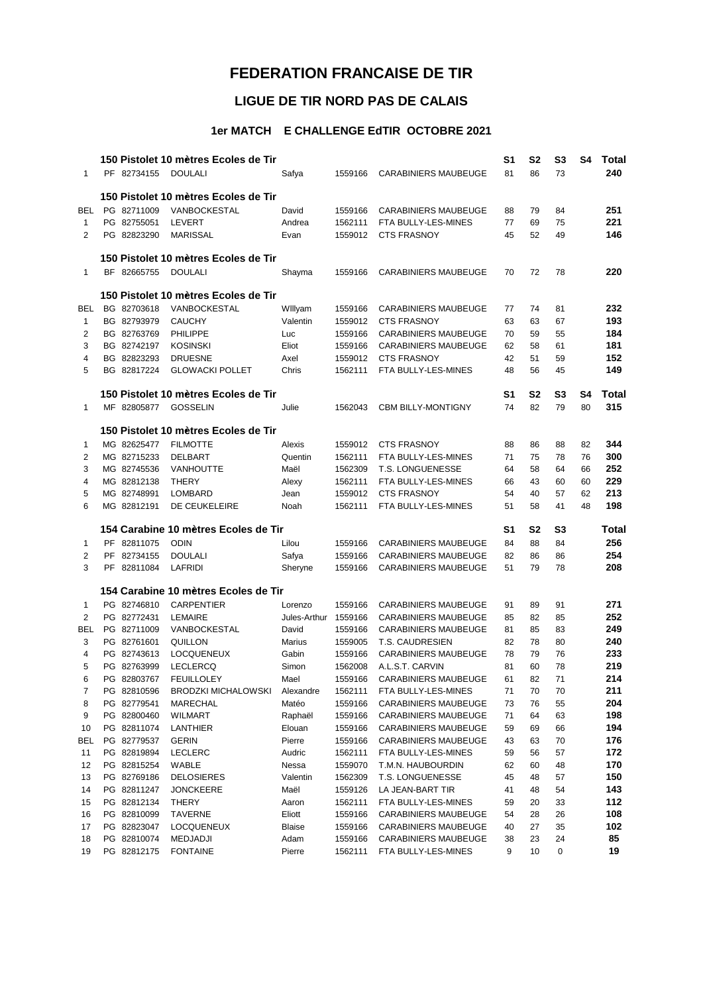## **FEDERATION FRANCAISE DE TIR**

## **LIGUE DE TIR NORD PAS DE CALAIS**

## **1er MATCH E CHALLENGE EdTIR OCTOBRE 2021**

|                |                            | 150 Pistolet 10 mètres Ecoles de Tir                    |                |                    |                                             | S1       | S <sub>2</sub> | S3             | S4 | <b>Total</b> |
|----------------|----------------------------|---------------------------------------------------------|----------------|--------------------|---------------------------------------------|----------|----------------|----------------|----|--------------|
| $\mathbf{1}$   | PF 82734155                | <b>DOULALI</b>                                          | Safya          | 1559166            | <b>CARABINIERS MAUBEUGE</b>                 | 81       | 86             | 73             |    | 240          |
|                |                            | 150 Pistolet 10 mètres Ecoles de Tir                    |                |                    |                                             |          |                |                |    |              |
| BEL            | PG 82711009                | VANBOCKESTAL                                            | David          | 1559166            | <b>CARABINIERS MAUBEUGE</b>                 | 88       | 79             | 84             |    | 251          |
| $\mathbf{1}$   | PG 82755051                | <b>LEVERT</b>                                           | Andrea         | 1562111            | FTA BULLY-LES-MINES                         | 77       | 69             | 75             |    | 221          |
| $\overline{2}$ | PG 82823290                | <b>MARISSAL</b>                                         | Evan           | 1559012            | <b>CTS FRASNOY</b>                          | 45       | 52             | 49             |    | 146          |
|                |                            |                                                         |                |                    |                                             |          |                |                |    |              |
|                |                            | 150 Pistolet 10 mètres Ecoles de Tir                    |                |                    |                                             |          |                |                |    |              |
| $\mathbf{1}$   | BF 82665755                | <b>DOULALI</b>                                          | Shayma         | 1559166            | <b>CARABINIERS MAUBEUGE</b>                 | 70       | 72             | 78             |    | 220          |
|                |                            | 150 Pistolet 10 mètres Ecoles de Tir                    |                |                    |                                             |          |                |                |    |              |
| BEL            | BG 82703618                | VANBOCKESTAL                                            | Willyam        | 1559166            | <b>CARABINIERS MAUBEUGE</b>                 | 77       | 74             | 81             |    | 232          |
| $\mathbf{1}$   | BG 82793979                | <b>CAUCHY</b>                                           | Valentin       | 1559012            | <b>CTS FRASNOY</b>                          | 63       | 63             | 67             |    | 193          |
| 2              | BG 82763769                | PHILIPPE                                                | Luc            | 1559166            | <b>CARABINIERS MAUBEUGE</b>                 | 70       | 59             | 55             |    | 184          |
| 3              | BG 82742197                | <b>KOSINSKI</b>                                         | Eliot          | 1559166            | <b>CARABINIERS MAUBEUGE</b>                 | 62       | 58             | 61             |    | 181          |
| 4              | BG 82823293                | <b>DRUESNE</b>                                          | Axel           | 1559012            | <b>CTS FRASNOY</b>                          | 42       | 51             | 59             |    | 152          |
| 5              | BG 82817224                | <b>GLOWACKI POLLET</b>                                  | Chris          | 1562111            | FTA BULLY-LES-MINES                         | 48       | 56             | 45             |    | 149          |
|                |                            | 150 Pistolet 10 mètres Ecoles de Tir                    |                |                    |                                             | S1       | S <sub>2</sub> | S <sub>3</sub> | S4 | <b>Total</b> |
| $\mathbf{1}$   | MF 82805877                | <b>GOSSELIN</b>                                         | Julie          | 1562043            | <b>CBM BILLY-MONTIGNY</b>                   | 74       | 82             | 79             | 80 | 315          |
|                |                            |                                                         |                |                    |                                             |          |                |                |    |              |
| 1              | MG 82625477                | 150 Pistolet 10 mètres Ecoles de Tir<br><b>FILMOTTE</b> | Alexis         | 1559012            | <b>CTS FRASNOY</b>                          | 88       | 86             | 88             | 82 | 344          |
| 2              | MG 82715233                | DELBART                                                 | Quentin        | 1562111            | FTA BULLY-LES-MINES                         | 71       | 75             | 78             | 76 | 300          |
| 3              | MG 82745536                | <b>VANHOUTTE</b>                                        | Maël           | 1562309            | T.S. LONGUENESSE                            | 64       | 58             | 64             | 66 | 252          |
| 4              | MG 82812138                | <b>THERY</b>                                            | Alexy          | 1562111            | FTA BULLY-LES-MINES                         | 66       | 43             | 60             | 60 | 229          |
| 5              | MG 82748991                | LOMBARD                                                 | Jean           | 1559012            | <b>CTS FRASNOY</b>                          | 54       | 40             | 57             | 62 | 213          |
| 6              | MG 82812191                | DE CEUKELEIRE                                           | Noah           | 1562111            | FTA BULLY-LES-MINES                         | 51       | 58             | 41             | 48 | 198          |
|                |                            |                                                         |                |                    |                                             |          |                |                |    |              |
|                |                            | 154 Carabine 10 mètres Ecoles de Tir                    |                |                    |                                             | S1       | S2             | S <sub>3</sub> |    | Total        |
| 1              | PF 82811075                | <b>ODIN</b>                                             | Lilou          | 1559166            | <b>CARABINIERS MAUBEUGE</b>                 | 84       | 88             | 84             |    | 256          |
| $\overline{2}$ | PF 82734155                | <b>DOULALI</b>                                          | Safya          | 1559166            | <b>CARABINIERS MAUBEUGE</b>                 | 82       | 86             | 86             |    | 254          |
| 3              | PF 82811084                | LAFRIDI                                                 | Sheryne        | 1559166            | <b>CARABINIERS MAUBEUGE</b>                 | 51       | 79             | 78             |    | 208          |
|                |                            | 154 Carabine 10 mètres Ecoles de Tir                    |                |                    |                                             |          |                |                |    |              |
| $\mathbf{1}$   | PG 82746810                | <b>CARPENTIER</b>                                       | Lorenzo        | 1559166            | <b>CARABINIERS MAUBEUGE</b>                 | 91       | 89             | 91             |    | 271          |
| $\overline{2}$ | PG 82772431                | <b>LEMAIRE</b>                                          | Jules-Arthur   | 1559166            | <b>CARABINIERS MAUBEUGE</b>                 | 85       | 82             | 85             |    | 252          |
| <b>BEL</b>     | PG 82711009                | VANBOCKESTAL                                            | David          | 1559166            | <b>CARABINIERS MAUBEUGE</b>                 | 81       | 85             | 83             |    | 249          |
| 3              | PG 82761601                | QUILLON                                                 | Marius         | 1559005            | T.S. CAUDRESIEN                             | 82       | 78             | 80             |    | 240          |
| 4              | PG 82743613                | <b>LOCQUENEUX</b>                                       | Gabin          | 1559166            | <b>CARABINIERS MAUBEUGE</b>                 | 78       | 79             | 76             |    | 233          |
| 5              | PG 82763999                | <b>LECLERCQ</b>                                         | Simon          | 1562008            | A.L.S.T. CARVIN                             | 81       | 60             | 78             |    | 219          |
| 6              | PG 82803767                | <b>FEUILLOLEY</b>                                       | Mael           | 1559166            | <b>CARABINIERS MAUBEUGE</b>                 | 61       | 82             | 71             |    | 214          |
| 7              | PG 82810596                | BRODZKI MICHALOWSKI                                     | Alexandre      | 1562111            | FTA BULLY-LES-MINES                         | 71       | 70             | 70             |    | 211          |
| 8              | PG 82779541                | MARECHAL                                                | Matéo          | 1559166            | <b>CARABINIERS MAUBEUGE</b>                 | 73       | 76             | 55             |    | 204          |
| 9              | PG 82800460                | WILMART                                                 | Raphaël        | 1559166            | <b>CARABINIERS MAUBEUGE</b>                 | 71       | 64             | 63             |    | 198          |
| 10             | PG 82811074                | LANTHIER                                                | Elouan         | 1559166            | <b>CARABINIERS MAUBEUGE</b>                 | 59       | 69             | 66             |    | 194          |
| BEL            | PG 82779537                | GERIN                                                   | Pierre         | 1559166            | CARABINIERS MAUBEUGE                        | 43       | 63             | 70             |    | 176          |
| 11             | PG 82819894                | LECLERC                                                 | Audric         | 1562111            | FTA BULLY-LES-MINES                         | 59       | 56             | 57             |    | 172          |
| 12             | PG 82815254                | WABLE                                                   | Nessa          | 1559070            | T.M.N. HAUBOURDIN                           | 62       | 60             | 48             |    | 170          |
| 13             | PG 82769186                | <b>DELOSIERES</b>                                       | Valentin       | 1562309            | T.S. LONGUENESSE                            | 45       | 48             | 57             |    | 150          |
| 14             | PG 82811247                | <b>JONCKEERE</b>                                        | Maël           | 1559126            | LA JEAN-BART TIR                            | 41       | 48             | 54             |    | 143          |
| 15             | PG 82812134                | THERY                                                   | Aaron          | 1562111            | FTA BULLY-LES-MINES                         | 59       | 20             | 33             |    | 112          |
| 16             | PG 82810099                | TAVERNE                                                 | Eliott         | 1559166            | <b>CARABINIERS MAUBEUGE</b>                 | 54       | 28             | 26             |    | 108          |
| 17<br>18       | PG 82823047                | <b>LOCQUENEUX</b>                                       | Blaise         | 1559166            | <b>CARABINIERS MAUBEUGE</b>                 | 40<br>38 | 27<br>23       | 35             |    | 102<br>85    |
| 19             | PG 82810074<br>PG 82812175 | MEDJADJI<br><b>FONTAINE</b>                             | Adam<br>Pierre | 1559166<br>1562111 | CARABINIERS MAUBEUGE<br>FTA BULLY-LES-MINES | 9        | 10             | 24<br>0        |    | 19           |
|                |                            |                                                         |                |                    |                                             |          |                |                |    |              |